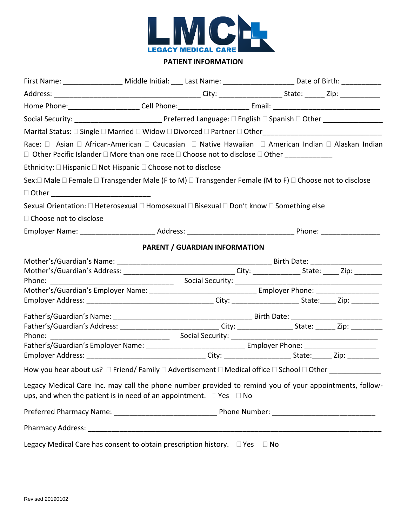

## **PATIENT INFORMATION**

| First Name: ____________________ Middle Initial: ____ Last Name: ________________________ Date of Birth: ____________                                                                           |  |                                      |  |  |  |
|-------------------------------------------------------------------------------------------------------------------------------------------------------------------------------------------------|--|--------------------------------------|--|--|--|
|                                                                                                                                                                                                 |  |                                      |  |  |  |
| Home Phone: _______________________Cell Phone: ________________________Email: ________________________________                                                                                  |  |                                      |  |  |  |
|                                                                                                                                                                                                 |  |                                      |  |  |  |
|                                                                                                                                                                                                 |  |                                      |  |  |  |
| Race: □ Asian □ African-American □ Caucasian □ Native Hawaiian □ American Indian □ Alaskan Indian<br>□ Other Pacific Islander □ More than one race □ Choose not to disclose □ Other ___________ |  |                                      |  |  |  |
| Ethnicity: □ Hispanic □ Not Hispanic □ Choose not to disclose                                                                                                                                   |  |                                      |  |  |  |
| Sex: $\Box$ Male $\Box$ Female $\Box$ Transgender Male (F to M) $\Box$ Transgender Female (M to F) $\Box$ Choose not to disclose                                                                |  |                                      |  |  |  |
| □ Other ________________________________                                                                                                                                                        |  |                                      |  |  |  |
| Sexual Orientation: □ Heterosexual □ Homosexual □ Bisexual □ Don't know □ Something else                                                                                                        |  |                                      |  |  |  |
| □ Choose not to disclose                                                                                                                                                                        |  |                                      |  |  |  |
|                                                                                                                                                                                                 |  |                                      |  |  |  |
|                                                                                                                                                                                                 |  | <b>PARENT / GUARDIAN INFORMATION</b> |  |  |  |
|                                                                                                                                                                                                 |  |                                      |  |  |  |
| Mother's/Guardian's Address: ________________________________City: ______________State: ______Zip: ___________                                                                                  |  |                                      |  |  |  |
|                                                                                                                                                                                                 |  |                                      |  |  |  |
|                                                                                                                                                                                                 |  |                                      |  |  |  |
|                                                                                                                                                                                                 |  |                                      |  |  |  |
|                                                                                                                                                                                                 |  |                                      |  |  |  |
| Father's/Guardian's Address: _______________________________City: ____________________State: _______ Zip: ___________                                                                           |  |                                      |  |  |  |
|                                                                                                                                                                                                 |  |                                      |  |  |  |
| Employer Address: __________________________________City: ______________________State: _______Zip: ___________                                                                                  |  |                                      |  |  |  |
| How you hear about us? □ Friend/ Family □ Advertisement □ Medical office □ School □ Other _______________                                                                                       |  |                                      |  |  |  |
| Legacy Medical Care Inc. may call the phone number provided to remind you of your appointments, follow-<br>ups, and when the patient is in need of an appointment. $\Box$ Yes $\Box$ No         |  |                                      |  |  |  |
|                                                                                                                                                                                                 |  |                                      |  |  |  |
|                                                                                                                                                                                                 |  |                                      |  |  |  |
| Legacy Medical Care has consent to obtain prescription history. $\square$ Yes $\square$ No                                                                                                      |  |                                      |  |  |  |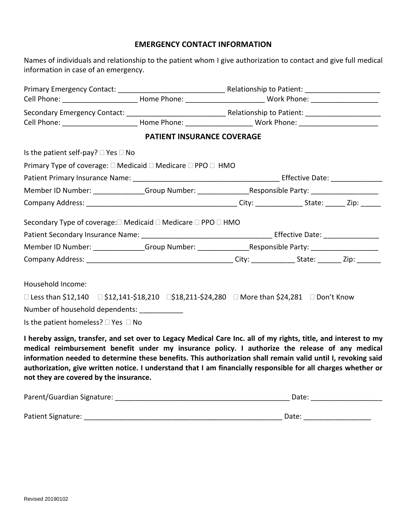## **EMERGENCY CONTACT INFORMATION**

| Names of individuals and relationship to the patient whom I give authorization to contact and give full medical |  |
|-----------------------------------------------------------------------------------------------------------------|--|
| information in case of an emergency.                                                                            |  |

|                                                     |                                                                                                                | Cell Phone: _____________________________Home Phone: ___________________________ Work Phone: _________________ |  |  |
|-----------------------------------------------------|----------------------------------------------------------------------------------------------------------------|----------------------------------------------------------------------------------------------------------------|--|--|
|                                                     |                                                                                                                |                                                                                                                |  |  |
|                                                     | Cell Phone: ___________________________Home Phone: ________________________Work Phone: _______________________ |                                                                                                                |  |  |
|                                                     | PATIENT INSURANCE COVERAGE                                                                                     |                                                                                                                |  |  |
| Is the patient self-pay? $\square$ Yes $\square$ No |                                                                                                                |                                                                                                                |  |  |
|                                                     | Primary Type of coverage: □ Medicaid □ Medicare □ PPO □ HMO                                                    |                                                                                                                |  |  |
|                                                     |                                                                                                                |                                                                                                                |  |  |
|                                                     | Member ID Number: ______________Group Number: ____________________Responsible Party: _____________________     |                                                                                                                |  |  |
|                                                     |                                                                                                                |                                                                                                                |  |  |
|                                                     |                                                                                                                |                                                                                                                |  |  |
|                                                     | Secondary Type of coverage:□ Medicaid □ Medicare □ PPO □ HMO                                                   |                                                                                                                |  |  |
|                                                     |                                                                                                                |                                                                                                                |  |  |
|                                                     |                                                                                                                |                                                                                                                |  |  |
| Household Income:                                   |                                                                                                                |                                                                                                                |  |  |
|                                                     | □ Less than \$12,140  □ \$12,141-\$18,210  □\$18,211-\$24,280  □ More than \$24,281  □ Don't Know              |                                                                                                                |  |  |
| Number of household dependents: ____________        |                                                                                                                |                                                                                                                |  |  |

**medical reimbursement benefit under my insurance policy. I authorize the release of any medical information needed to determine these benefits. This authorization shall remain valid until I, revoking said authorization, give written notice. I understand that I am financially responsible for all charges whether or not they are covered by the insurance.** 

| Parent/Guardian Signature: | Date: |
|----------------------------|-------|
|                            |       |
| Patient Signature:         | Date: |